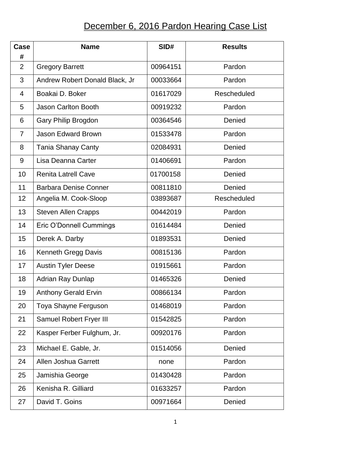## December 6, 2016 Pardon Hearing Case List

| Case<br>#      | <b>Name</b>                    | SID#     | <b>Results</b> |
|----------------|--------------------------------|----------|----------------|
| $\overline{2}$ | <b>Gregory Barrett</b>         | 00964151 | Pardon         |
| 3              | Andrew Robert Donald Black, Jr | 00033664 | Pardon         |
| 4              | Boakai D. Boker                | 01617029 | Rescheduled    |
| 5              | <b>Jason Carlton Booth</b>     | 00919232 | Pardon         |
| 6              | Gary Philip Brogdon            | 00364546 | Denied         |
| $\overline{7}$ | <b>Jason Edward Brown</b>      | 01533478 | Pardon         |
| 8              | <b>Tania Shanay Canty</b>      | 02084931 | Denied         |
| 9              | Lisa Deanna Carter             | 01406691 | Pardon         |
| 10             | <b>Renita Latrell Cave</b>     | 01700158 | Denied         |
| 11             | <b>Barbara Denise Conner</b>   | 00811810 | Denied         |
| 12             | Angelia M. Cook-Sloop          | 03893687 | Rescheduled    |
| 13             | <b>Steven Allen Crapps</b>     | 00442019 | Pardon         |
| 14             | Eric O'Donnell Cummings        | 01614484 | Denied         |
| 15             | Derek A. Darby                 | 01893531 | Denied         |
| 16             | Kenneth Gregg Davis            | 00815136 | Pardon         |
| 17             | <b>Austin Tyler Deese</b>      | 01915661 | Pardon         |
| 18             | <b>Adrian Ray Dunlap</b>       | 01465326 | Denied         |
| 19             | <b>Anthony Gerald Ervin</b>    | 00866134 | Pardon         |
| 20             | Toya Shayne Ferguson           | 01468019 | Pardon         |
| 21             | Samuel Robert Fryer III        | 01542825 | Pardon         |
| 22             | Kasper Ferber Fulghum, Jr.     | 00920176 | Pardon         |
| 23             | Michael E. Gable, Jr.          | 01514056 | Denied         |
| 24             | Allen Joshua Garrett           | none     | Pardon         |
| 25             | Jamishia George                | 01430428 | Pardon         |
| 26             | Kenisha R. Gilliard            | 01633257 | Pardon         |
| 27             | David T. Goins                 | 00971664 | Denied         |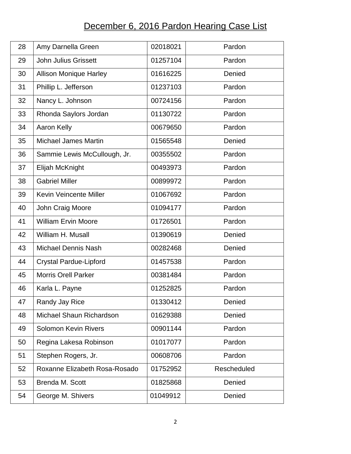## December 6, 2016 Pardon Hearing Case List

| 28 | Amy Darnella Green            | 02018021 | Pardon      |
|----|-------------------------------|----------|-------------|
| 29 | <b>John Julius Grissett</b>   | 01257104 | Pardon      |
| 30 | <b>Allison Monique Harley</b> | 01616225 | Denied      |
| 31 | Phillip L. Jefferson          | 01237103 | Pardon      |
| 32 | Nancy L. Johnson              | 00724156 | Pardon      |
| 33 | Rhonda Saylors Jordan         | 01130722 | Pardon      |
| 34 | Aaron Kelly                   | 00679650 | Pardon      |
| 35 | <b>Michael James Martin</b>   | 01565548 | Denied      |
| 36 | Sammie Lewis McCullough, Jr.  | 00355502 | Pardon      |
| 37 | Elijah McKnight               | 00493973 | Pardon      |
| 38 | <b>Gabriel Miller</b>         | 00899972 | Pardon      |
| 39 | <b>Kevin Veincente Miller</b> | 01067692 | Pardon      |
| 40 | John Craig Moore              | 01094177 | Pardon      |
| 41 | <b>William Ervin Moore</b>    | 01726501 | Pardon      |
| 42 | William H. Musall             | 01390619 | Denied      |
| 43 | <b>Michael Dennis Nash</b>    | 00282468 | Denied      |
| 44 | <b>Crystal Pardue-Lipford</b> | 01457538 | Pardon      |
| 45 | <b>Morris Orell Parker</b>    | 00381484 | Pardon      |
| 46 | Karla L. Payne                | 01252825 | Pardon      |
| 47 | Randy Jay Rice                | 01330412 | Denied      |
| 48 | Michael Shaun Richardson      | 01629388 | Denied      |
| 49 | <b>Solomon Kevin Rivers</b>   | 00901144 | Pardon      |
| 50 | Regina Lakesa Robinson        | 01017077 | Pardon      |
| 51 | Stephen Rogers, Jr.           | 00608706 | Pardon      |
| 52 | Roxanne Elizabeth Rosa-Rosado | 01752952 | Rescheduled |
| 53 | Brenda M. Scott               | 01825868 | Denied      |
| 54 | George M. Shivers             | 01049912 | Denied      |